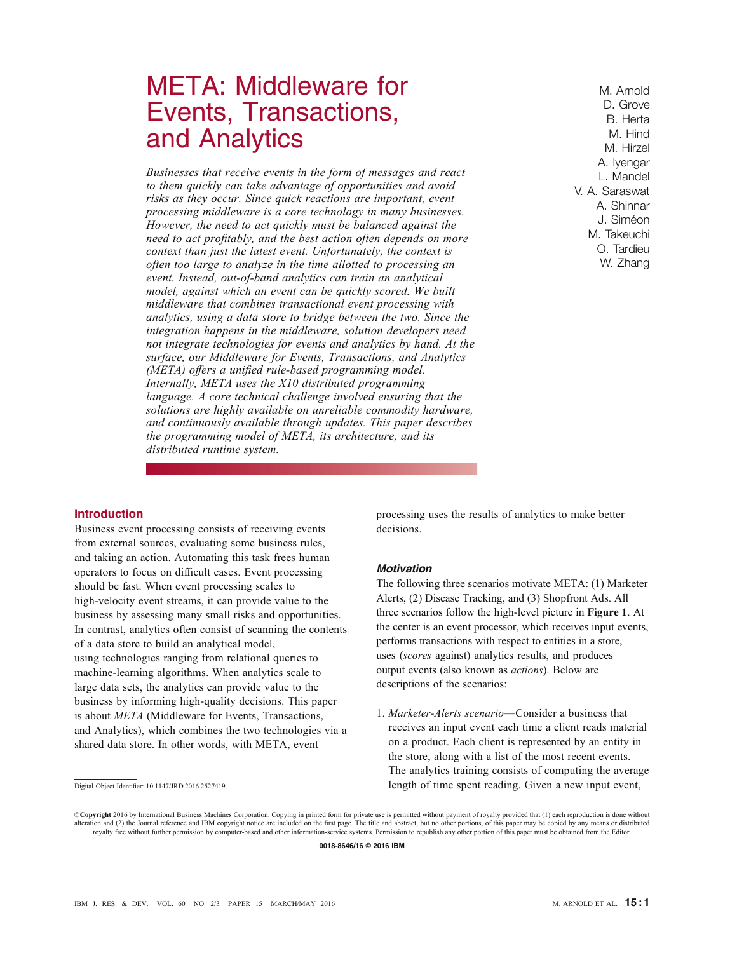# META: Middleware for Events, Transactions, and Analytics

Businesses that receive events in the form of messages and react to them quickly can take advantage of opportunities and avoid risks as they occur. Since quick reactions are important, event processing middleware is a core technology in many businesses. However, the need to act quickly must be balanced against the need to act profitably, and the best action often depends on more context than just the latest event. Unfortunately, the context is often too large to analyze in the time allotted to processing an event. Instead, out-of-band analytics can train an analytical model, against which an event can be quickly scored. We built middleware that combines transactional event processing with analytics, using a data store to bridge between the two. Since the integration happens in the middleware, solution developers need not integrate technologies for events and analytics by hand. At the surface, our Middleware for Events, Transactions, and Analytics (META) offers a unified rule-based programming model. Internally, META uses the X10 distributed programming language. A core technical challenge involved ensuring that the solutions are highly available on unreliable commodity hardware, and continuously available through updates. This paper describes the programming model of META, its architecture, and its distributed runtime system.

M. Arnold D. Grove B. Herta M. Hind M. Hirzel A. Iyengar L. Mandel V. A. Saraswat A. Shinnar J. Siméon M. Takeuchi O. Tardieu W. Zhang

# Introduction

Business event processing consists of receiving events from external sources, evaluating some business rules, and taking an action. Automating this task frees human operators to focus on difficult cases. Event processing should be fast. When event processing scales to high-velocity event streams, it can provide value to the business by assessing many small risks and opportunities. In contrast, analytics often consist of scanning the contents of a data store to build an analytical model, using technologies ranging from relational queries to machine-learning algorithms. When analytics scale to large data sets, the analytics can provide value to the business by informing high-quality decisions. This paper is about META (Middleware for Events, Transactions, and Analytics), which combines the two technologies via a shared data store. In other words, with META, event

processing uses the results of analytics to make better decisions.

#### **Motivation**

The following three scenarios motivate META: (1) Marketer Alerts, (2) Disease Tracking, and (3) Shopfront Ads. All three scenarios follow the high-level picture in Figure 1. At the center is an event processor, which receives input events, performs transactions with respect to entities in a store, uses (scores against) analytics results, and produces output events (also known as actions). Below are descriptions of the scenarios:

1. Marketer-Alerts scenario—Consider a business that receives an input event each time a client reads material on a product. Each client is represented by an entity in the store, along with a list of the most recent events. The analytics training consists of computing the average Digital Object Identifier: 10.1147/JRD.2016.2527419 length of time spent reading. Given a new input event,

Copyright 2016 by International Business Machines Corporation. Copying in printed form for private use is permitted without payment of royalty provided that (1) each reproduction is done without halteration and (2) the Jou royalty free without further permission by computer-based and other information-service systems. Permission to republish any other portion of this paper must be obtained from the Editor.

<sup>0018-8646/16 © 2016</sup> IBM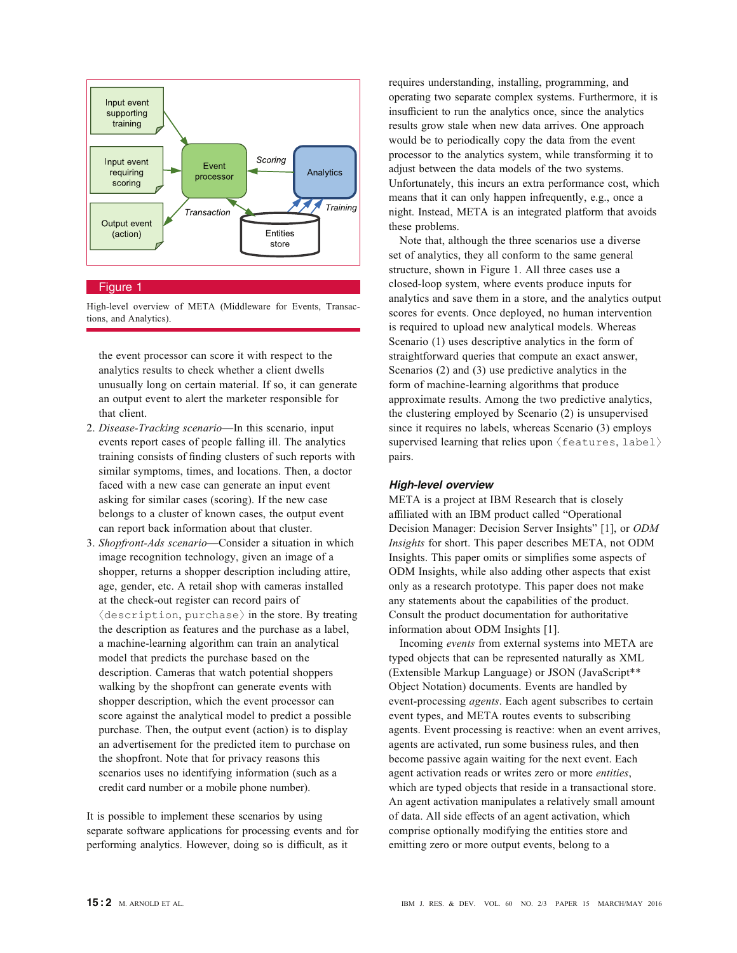

#### Figure 1

High-level overview of META (Middleware for Events, Transactions, and Analytics)

the event processor can score it with respect to the analytics results to check whether a client dwells unusually long on certain material. If so, it can generate an output event to alert the marketer responsible for that client.

- 2. Disease-Tracking scenario—In this scenario, input events report cases of people falling ill. The analytics training consists of finding clusters of such reports with similar symptoms, times, and locations. Then, a doctor faced with a new case can generate an input event asking for similar cases (scoring). If the new case belongs to a cluster of known cases, the output event can report back information about that cluster.
- 3. Shopfront-Ads scenario—Consider a situation in which image recognition technology, given an image of a shopper, returns a shopper description including attire, age, gender, etc. A retail shop with cameras installed at the check-out register can record pairs of 〈description, purchase〉 in the store. By treating the description as features and the purchase as a label, a machine-learning algorithm can train an analytical model that predicts the purchase based on the description. Cameras that watch potential shoppers walking by the shopfront can generate events with shopper description, which the event processor can score against the analytical model to predict a possible purchase. Then, the output event (action) is to display an advertisement for the predicted item to purchase on the shopfront. Note that for privacy reasons this scenarios uses no identifying information (such as a credit card number or a mobile phone number).

It is possible to implement these scenarios by using separate software applications for processing events and for performing analytics. However, doing so is difficult, as it

requires understanding, installing, programming, and operating two separate complex systems. Furthermore, it is insufficient to run the analytics once, since the analytics results grow stale when new data arrives. One approach would be to periodically copy the data from the event processor to the analytics system, while transforming it to adjust between the data models of the two systems. Unfortunately, this incurs an extra performance cost, which means that it can only happen infrequently, e.g., once a night. Instead, META is an integrated platform that avoids these problems.

Note that, although the three scenarios use a diverse set of analytics, they all conform to the same general structure, shown in Figure 1. All three cases use a closed-loop system, where events produce inputs for analytics and save them in a store, and the analytics output scores for events. Once deployed, no human intervention is required to upload new analytical models. Whereas Scenario (1) uses descriptive analytics in the form of straightforward queries that compute an exact answer, Scenarios (2) and (3) use predictive analytics in the form of machine-learning algorithms that produce approximate results. Among the two predictive analytics, the clustering employed by Scenario (2) is unsupervised since it requires no labels, whereas Scenario (3) employs supervised learning that relies upon  $\langle$  features, label $\rangle$ pairs.

#### High-level overview

META is a project at IBM Research that is closely affiliated with an IBM product called "Operational Decision Manager: Decision Server Insights" [1], or ODM Insights for short. This paper describes META, not ODM Insights. This paper omits or simplifies some aspects of ODM Insights, while also adding other aspects that exist only as a research prototype. This paper does not make any statements about the capabilities of the product. Consult the product documentation for authoritative information about ODM Insights [1].

Incoming events from external systems into META are typed objects that can be represented naturally as XML (Extensible Markup Language) or JSON (JavaScript\*\* Object Notation) documents. Events are handled by event-processing agents. Each agent subscribes to certain event types, and META routes events to subscribing agents. Event processing is reactive: when an event arrives, agents are activated, run some business rules, and then become passive again waiting for the next event. Each agent activation reads or writes zero or more entities, which are typed objects that reside in a transactional store. An agent activation manipulates a relatively small amount of data. All side effects of an agent activation, which comprise optionally modifying the entities store and emitting zero or more output events, belong to a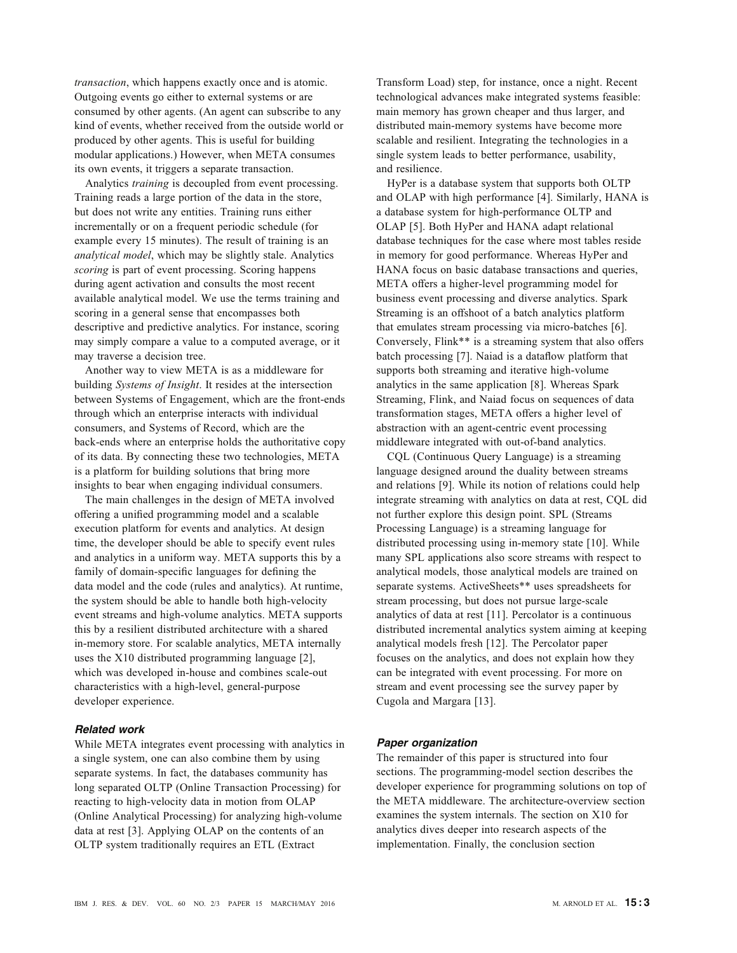transaction, which happens exactly once and is atomic. Outgoing events go either to external systems or are consumed by other agents. (An agent can subscribe to any kind of events, whether received from the outside world or produced by other agents. This is useful for building modular applications.) However, when META consumes its own events, it triggers a separate transaction.

Analytics training is decoupled from event processing. Training reads a large portion of the data in the store, but does not write any entities. Training runs either incrementally or on a frequent periodic schedule (for example every 15 minutes). The result of training is an analytical model, which may be slightly stale. Analytics scoring is part of event processing. Scoring happens during agent activation and consults the most recent available analytical model. We use the terms training and scoring in a general sense that encompasses both descriptive and predictive analytics. For instance, scoring may simply compare a value to a computed average, or it may traverse a decision tree.

Another way to view META is as a middleware for building Systems of Insight. It resides at the intersection between Systems of Engagement, which are the front-ends through which an enterprise interacts with individual consumers, and Systems of Record, which are the back-ends where an enterprise holds the authoritative copy of its data. By connecting these two technologies, META is a platform for building solutions that bring more insights to bear when engaging individual consumers.

The main challenges in the design of META involved offering a unified programming model and a scalable execution platform for events and analytics. At design time, the developer should be able to specify event rules and analytics in a uniform way. META supports this by a family of domain-specific languages for defining the data model and the code (rules and analytics). At runtime, the system should be able to handle both high-velocity event streams and high-volume analytics. META supports this by a resilient distributed architecture with a shared in-memory store. For scalable analytics, META internally uses the X10 distributed programming language [2], which was developed in-house and combines scale-out characteristics with a high-level, general-purpose developer experience.

#### Related work

While META integrates event processing with analytics in a single system, one can also combine them by using separate systems. In fact, the databases community has long separated OLTP (Online Transaction Processing) for reacting to high-velocity data in motion from OLAP (Online Analytical Processing) for analyzing high-volume data at rest [3]. Applying OLAP on the contents of an OLTP system traditionally requires an ETL (Extract

Transform Load) step, for instance, once a night. Recent technological advances make integrated systems feasible: main memory has grown cheaper and thus larger, and distributed main-memory systems have become more scalable and resilient. Integrating the technologies in a single system leads to better performance, usability, and resilience.

HyPer is a database system that supports both OLTP and OLAP with high performance [4]. Similarly, HANA is a database system for high-performance OLTP and OLAP [5]. Both HyPer and HANA adapt relational database techniques for the case where most tables reside in memory for good performance. Whereas HyPer and HANA focus on basic database transactions and queries, META offers a higher-level programming model for business event processing and diverse analytics. Spark Streaming is an offshoot of a batch analytics platform that emulates stream processing via micro-batches [6]. Conversely, Flink\*\* is a streaming system that also offers batch processing [7]. Naiad is a dataflow platform that supports both streaming and iterative high-volume analytics in the same application [8]. Whereas Spark Streaming, Flink, and Naiad focus on sequences of data transformation stages, META offers a higher level of abstraction with an agent-centric event processing middleware integrated with out-of-band analytics.

CQL (Continuous Query Language) is a streaming language designed around the duality between streams and relations [9]. While its notion of relations could help integrate streaming with analytics on data at rest, CQL did not further explore this design point. SPL (Streams Processing Language) is a streaming language for distributed processing using in-memory state [10]. While many SPL applications also score streams with respect to analytical models, those analytical models are trained on separate systems. ActiveSheets\*\* uses spreadsheets for stream processing, but does not pursue large-scale analytics of data at rest [11]. Percolator is a continuous distributed incremental analytics system aiming at keeping analytical models fresh [12]. The Percolator paper focuses on the analytics, and does not explain how they can be integrated with event processing. For more on stream and event processing see the survey paper by Cugola and Margara [13].

#### Paper organization

The remainder of this paper is structured into four sections. The programming-model section describes the developer experience for programming solutions on top of the META middleware. The architecture-overview section examines the system internals. The section on X10 for analytics dives deeper into research aspects of the implementation. Finally, the conclusion section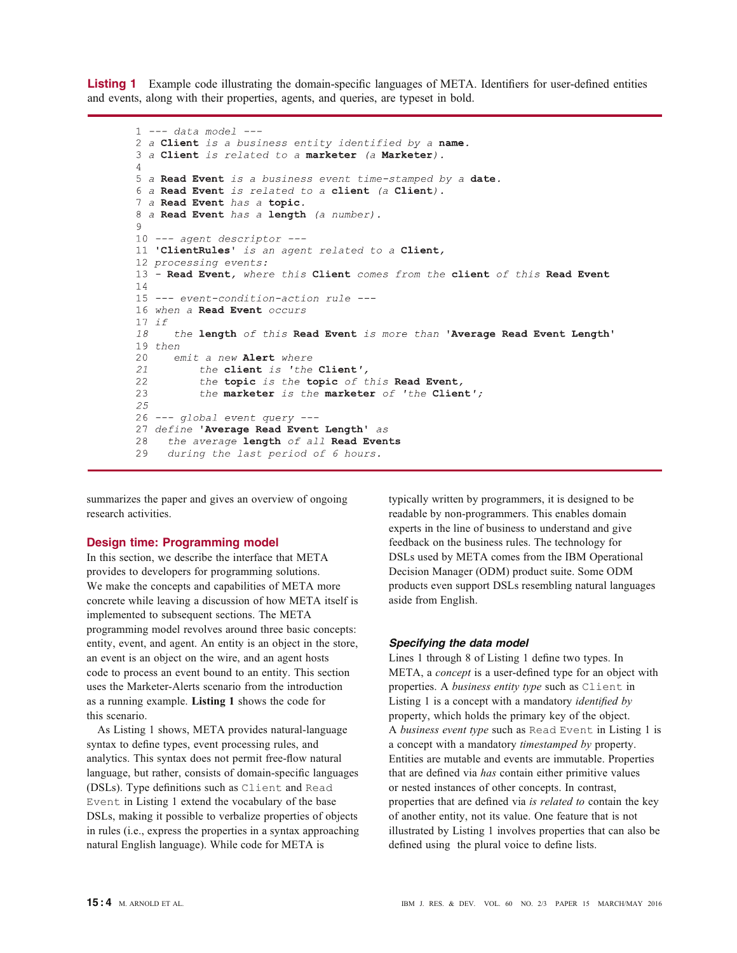Listing 1 Example code illustrating the domain-specific languages of META. Identifiers for user-defined entities and events, along with their properties, agents, and queries, are typeset in bold.

```
1 --- data model ---
2 a Client is a business entity identified by a name.
3 a Client is related to a marketer (a Marketer).
5 a Read Event is a business event time-stamped by a date.
6 a Read Event is related to a client (a Client).
7 a Read Event has a topic.
8 a Read Event has a length (a number).
\mathsf{Q}10 --- agent descriptor ---
11 'ClientRules' is an agent related to a Client,
12 processing events:
13 - Read Event, where this Client comes from the client of this Read Event
1415 --- event-condition-action rule ---
16 when a Read Event occurs
17 if18
     the length of this Read Event is more than 'Average Read Event Length'
19 then
20 -emit a new Alert where
21the client is 'the Client',
22
          the topic is the topic of this Read Event,
23
          the marketer is the marketer of 'the Client';
25
26 --- global event query ---
27 define 'Average Read Event Length' as
28the average length of all Read Events
29
     during the last period of 6 hours.
```
summarizes the paper and gives an overview of ongoing research activities.

# Design time: Programming model

In this section, we describe the interface that META provides to developers for programming solutions. We make the concepts and capabilities of META more concrete while leaving a discussion of how META itself is implemented to subsequent sections. The META programming model revolves around three basic concepts: entity, event, and agent. An entity is an object in the store, an event is an object on the wire, and an agent hosts code to process an event bound to an entity. This section uses the Marketer-Alerts scenario from the introduction as a running example. Listing 1 shows the code for this scenario.

As Listing 1 shows, META provides natural-language syntax to define types, event processing rules, and analytics. This syntax does not permit free-flow natural language, but rather, consists of domain-specific languages (DSLs). Type definitions such as Client and Read Event in Listing 1 extend the vocabulary of the base DSLs, making it possible to verbalize properties of objects in rules (i.e., express the properties in a syntax approaching natural English language). While code for META is

typically written by programmers, it is designed to be readable by non-programmers. This enables domain experts in the line of business to understand and give feedback on the business rules. The technology for DSLs used by META comes from the IBM Operational Decision Manager (ODM) product suite. Some ODM products even support DSLs resembling natural languages aside from English.

## Specifying the data model

Lines 1 through 8 of Listing 1 define two types. In META, a concept is a user-defined type for an object with properties. A business entity type such as Client in Listing 1 is a concept with a mandatory *identified by* property, which holds the primary key of the object. A business event type such as Read Event in Listing 1 is a concept with a mandatory timestamped by property. Entities are mutable and events are immutable. Properties that are defined via has contain either primitive values or nested instances of other concepts. In contrast, properties that are defined via is related to contain the key of another entity, not its value. One feature that is not illustrated by Listing 1 involves properties that can also be defined using the plural voice to define lists.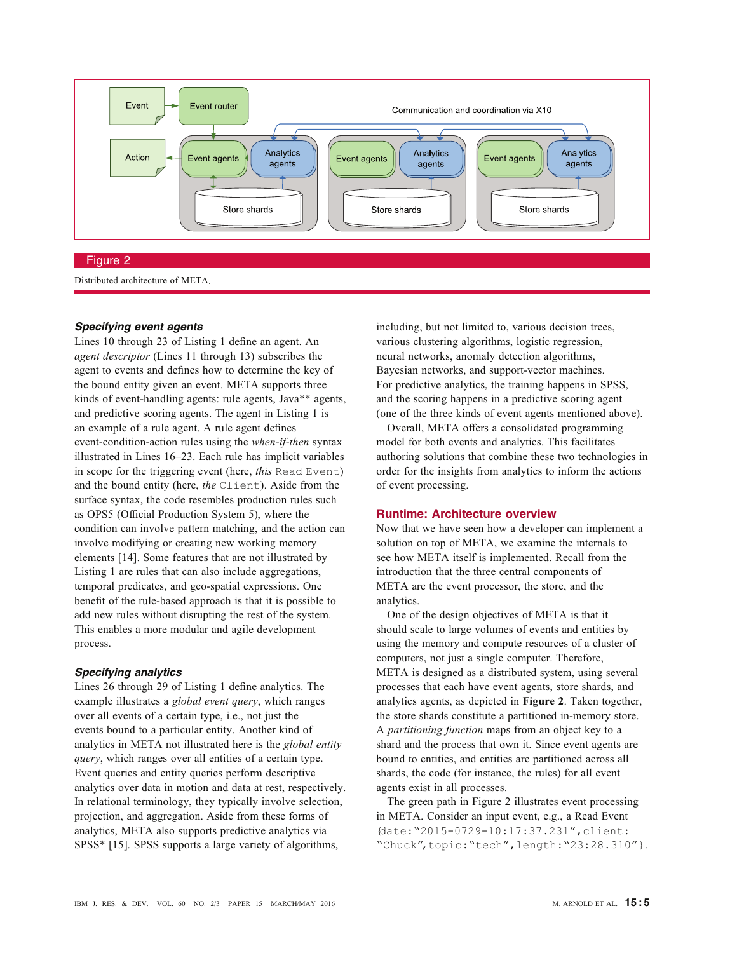

Distributed architecture of META

#### Specifying event agents

Lines 10 through 23 of Listing 1 define an agent. An agent descriptor (Lines 11 through 13) subscribes the agent to events and defines how to determine the key of the bound entity given an event. META supports three kinds of event-handling agents: rule agents, Java\*\* agents, and predictive scoring agents. The agent in Listing 1 is an example of a rule agent. A rule agent defines event-condition-action rules using the when-if-then syntax illustrated in Lines 16–23. Each rule has implicit variables in scope for the triggering event (here, this Read Event) and the bound entity (here, the Client). Aside from the surface syntax, the code resembles production rules such as OPS5 (Official Production System 5), where the condition can involve pattern matching, and the action can involve modifying or creating new working memory elements [14]. Some features that are not illustrated by Listing 1 are rules that can also include aggregations, temporal predicates, and geo-spatial expressions. One benefit of the rule-based approach is that it is possible to add new rules without disrupting the rest of the system. This enables a more modular and agile development process.

#### Specifying analytics

Lines 26 through 29 of Listing 1 define analytics. The example illustrates a global event query, which ranges over all events of a certain type, i.e., not just the events bound to a particular entity. Another kind of analytics in META not illustrated here is the global entity query, which ranges over all entities of a certain type. Event queries and entity queries perform descriptive analytics over data in motion and data at rest, respectively. In relational terminology, they typically involve selection, projection, and aggregation. Aside from these forms of analytics, META also supports predictive analytics via SPSS\* [15]. SPSS supports a large variety of algorithms,

including, but not limited to, various decision trees, various clustering algorithms, logistic regression, neural networks, anomaly detection algorithms, Bayesian networks, and support-vector machines. For predictive analytics, the training happens in SPSS, and the scoring happens in a predictive scoring agent (one of the three kinds of event agents mentioned above).

Overall, META offers a consolidated programming model for both events and analytics. This facilitates authoring solutions that combine these two technologies in order for the insights from analytics to inform the actions of event processing.

# Runtime: Architecture overview

Now that we have seen how a developer can implement a solution on top of META, we examine the internals to see how META itself is implemented. Recall from the introduction that the three central components of META are the event processor, the store, and the analytics.

One of the design objectives of META is that it should scale to large volumes of events and entities by using the memory and compute resources of a cluster of computers, not just a single computer. Therefore, META is designed as a distributed system, using several processes that each have event agents, store shards, and analytics agents, as depicted in Figure 2. Taken together, the store shards constitute a partitioned in-memory store. A partitioning function maps from an object key to a shard and the process that own it. Since event agents are bound to entities, and entities are partitioned across all shards, the code (for instance, the rules) for all event agents exist in all processes.

The green path in Figure 2 illustrates event processing in META. Consider an input event, e.g., a Read Event {date:"2015-0729-10:17:37.231",client: "Chuck", topic: "tech", length: "23:28.310" }.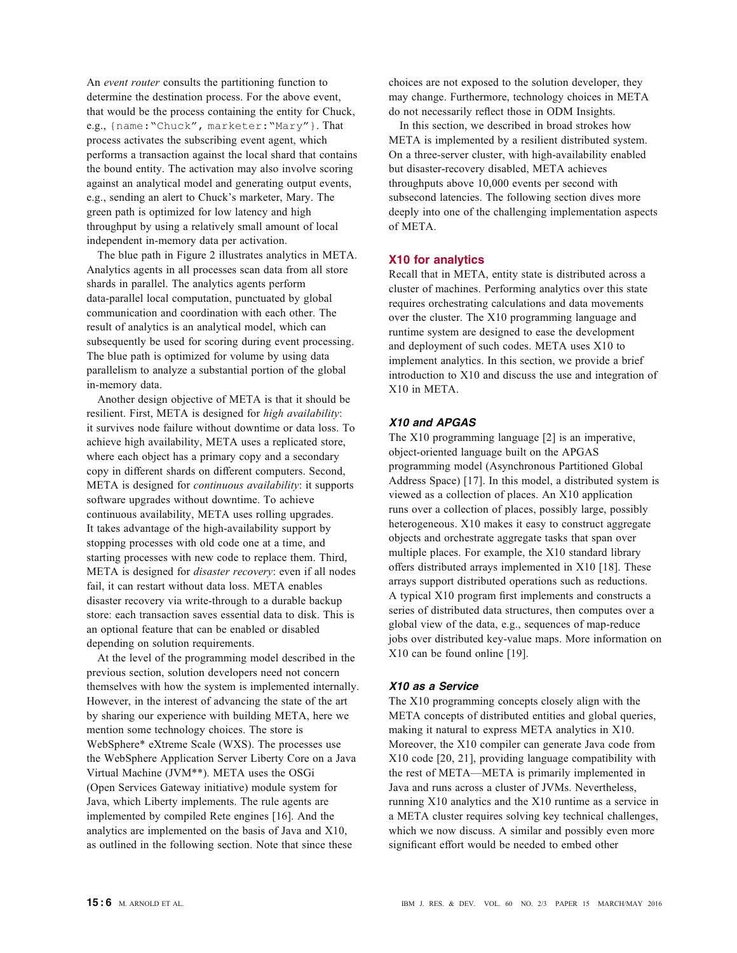An event router consults the partitioning function to determine the destination process. For the above event, that would be the process containing the entity for Chuck, e.g., {name:"Chuck", marketer:"Mary"}. That process activates the subscribing event agent, which performs a transaction against the local shard that contains the bound entity. The activation may also involve scoring against an analytical model and generating output events, e.g., sending an alert to Chuck's marketer, Mary. The green path is optimized for low latency and high throughput by using a relatively small amount of local independent in-memory data per activation.

The blue path in Figure 2 illustrates analytics in META. Analytics agents in all processes scan data from all store shards in parallel. The analytics agents perform data-parallel local computation, punctuated by global communication and coordination with each other. The result of analytics is an analytical model, which can subsequently be used for scoring during event processing. The blue path is optimized for volume by using data parallelism to analyze a substantial portion of the global in-memory data.

Another design objective of META is that it should be resilient. First, META is designed for high availability: it survives node failure without downtime or data loss. To achieve high availability, META uses a replicated store, where each object has a primary copy and a secondary copy in different shards on different computers. Second, META is designed for continuous availability: it supports software upgrades without downtime. To achieve continuous availability, META uses rolling upgrades. It takes advantage of the high-availability support by stopping processes with old code one at a time, and starting processes with new code to replace them. Third, META is designed for disaster recovery: even if all nodes fail, it can restart without data loss. META enables disaster recovery via write-through to a durable backup store: each transaction saves essential data to disk. This is an optional feature that can be enabled or disabled depending on solution requirements.

At the level of the programming model described in the previous section, solution developers need not concern themselves with how the system is implemented internally. However, in the interest of advancing the state of the art by sharing our experience with building META, here we mention some technology choices. The store is WebSphere\* eXtreme Scale (WXS). The processes use the WebSphere Application Server Liberty Core on a Java Virtual Machine (JVM\*\*). META uses the OSGi (Open Services Gateway initiative) module system for Java, which Liberty implements. The rule agents are implemented by compiled Rete engines [16]. And the analytics are implemented on the basis of Java and X10, as outlined in the following section. Note that since these

choices are not exposed to the solution developer, they may change. Furthermore, technology choices in META do not necessarily reflect those in ODM Insights.

In this section, we described in broad strokes how META is implemented by a resilient distributed system. On a three-server cluster, with high-availability enabled but disaster-recovery disabled, META achieves throughputs above 10,000 events per second with subsecond latencies. The following section dives more deeply into one of the challenging implementation aspects of META.

## X10 for analytics

Recall that in META, entity state is distributed across a cluster of machines. Performing analytics over this state requires orchestrating calculations and data movements over the cluster. The X10 programming language and runtime system are designed to ease the development and deployment of such codes. META uses X10 to implement analytics. In this section, we provide a brief introduction to X10 and discuss the use and integration of X10 in META.

# X10 and APGAS

The X10 programming language [2] is an imperative, object-oriented language built on the APGAS programming model (Asynchronous Partitioned Global Address Space) [17]. In this model, a distributed system is viewed as a collection of places. An X10 application runs over a collection of places, possibly large, possibly heterogeneous. X10 makes it easy to construct aggregate objects and orchestrate aggregate tasks that span over multiple places. For example, the X10 standard library offers distributed arrays implemented in X10 [18]. These arrays support distributed operations such as reductions. A typical X10 program first implements and constructs a series of distributed data structures, then computes over a global view of the data, e.g., sequences of map-reduce jobs over distributed key-value maps. More information on X10 can be found online [19].

#### X10 as a Service

The X10 programming concepts closely align with the META concepts of distributed entities and global queries, making it natural to express META analytics in X10. Moreover, the X10 compiler can generate Java code from X10 code [20, 21], providing language compatibility with the rest of META—META is primarily implemented in Java and runs across a cluster of JVMs. Nevertheless, running X10 analytics and the X10 runtime as a service in a META cluster requires solving key technical challenges, which we now discuss. A similar and possibly even more significant effort would be needed to embed other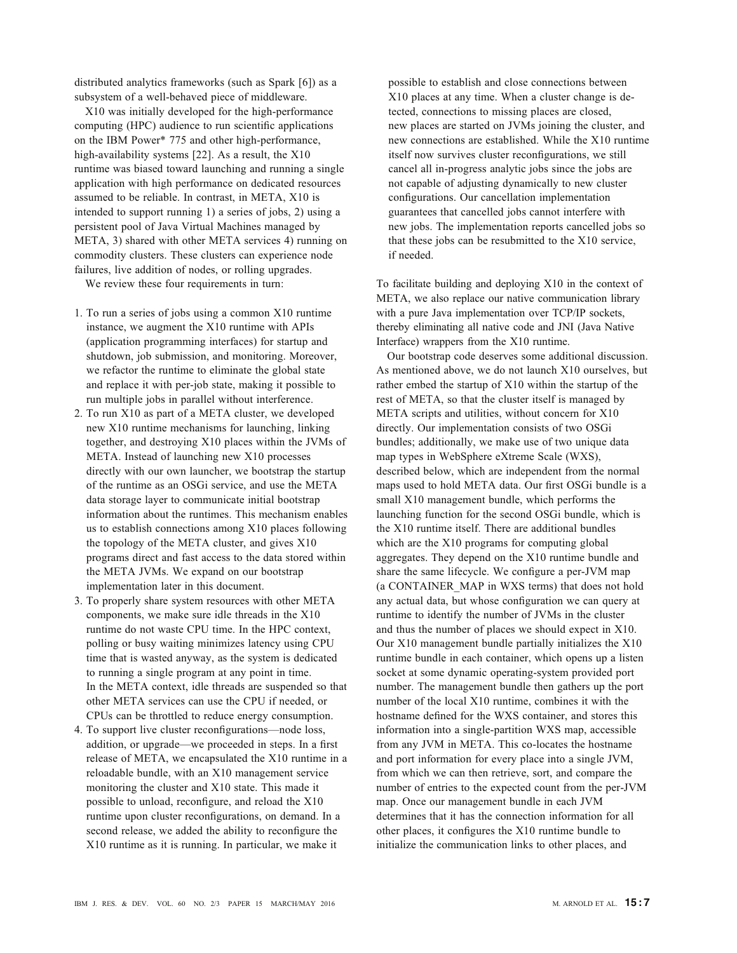distributed analytics frameworks (such as Spark [6]) as a subsystem of a well-behaved piece of middleware.

X10 was initially developed for the high-performance computing (HPC) audience to run scientific applications on the IBM Power\* 775 and other high-performance, high-availability systems [22]. As a result, the X10 runtime was biased toward launching and running a single application with high performance on dedicated resources assumed to be reliable. In contrast, in META, X10 is intended to support running 1) a series of jobs, 2) using a persistent pool of Java Virtual Machines managed by META, 3) shared with other META services 4) running on commodity clusters. These clusters can experience node failures, live addition of nodes, or rolling upgrades.

We review these four requirements in turn:

- 1. To run a series of jobs using a common X10 runtime instance, we augment the X10 runtime with APIs (application programming interfaces) for startup and shutdown, job submission, and monitoring. Moreover, we refactor the runtime to eliminate the global state and replace it with per-job state, making it possible to run multiple jobs in parallel without interference.
- 2. To run X10 as part of a META cluster, we developed new X10 runtime mechanisms for launching, linking together, and destroying X10 places within the JVMs of META. Instead of launching new X10 processes directly with our own launcher, we bootstrap the startup of the runtime as an OSGi service, and use the META data storage layer to communicate initial bootstrap information about the runtimes. This mechanism enables us to establish connections among X10 places following the topology of the META cluster, and gives X10 programs direct and fast access to the data stored within the META JVMs. We expand on our bootstrap implementation later in this document.
- 3. To properly share system resources with other META components, we make sure idle threads in the X10 runtime do not waste CPU time. In the HPC context, polling or busy waiting minimizes latency using CPU time that is wasted anyway, as the system is dedicated to running a single program at any point in time. In the META context, idle threads are suspended so that other META services can use the CPU if needed, or CPUs can be throttled to reduce energy consumption.
- 4. To support live cluster reconfigurations—node loss, addition, or upgrade—we proceeded in steps. In a first release of META, we encapsulated the X10 runtime in a reloadable bundle, with an X10 management service monitoring the cluster and X10 state. This made it possible to unload, reconfigure, and reload the X10 runtime upon cluster reconfigurations, on demand. In a second release, we added the ability to reconfigure the X10 runtime as it is running. In particular, we make it

possible to establish and close connections between X10 places at any time. When a cluster change is detected, connections to missing places are closed, new places are started on JVMs joining the cluster, and new connections are established. While the X10 runtime itself now survives cluster reconfigurations, we still cancel all in-progress analytic jobs since the jobs are not capable of adjusting dynamically to new cluster configurations. Our cancellation implementation guarantees that cancelled jobs cannot interfere with new jobs. The implementation reports cancelled jobs so that these jobs can be resubmitted to the X10 service, if needed.

To facilitate building and deploying X10 in the context of META, we also replace our native communication library with a pure Java implementation over TCP/IP sockets, thereby eliminating all native code and JNI (Java Native Interface) wrappers from the X10 runtime.

Our bootstrap code deserves some additional discussion. As mentioned above, we do not launch X10 ourselves, but rather embed the startup of X10 within the startup of the rest of META, so that the cluster itself is managed by META scripts and utilities, without concern for X10 directly. Our implementation consists of two OSGi bundles; additionally, we make use of two unique data map types in WebSphere eXtreme Scale (WXS), described below, which are independent from the normal maps used to hold META data. Our first OSGi bundle is a small X10 management bundle, which performs the launching function for the second OSGi bundle, which is the X10 runtime itself. There are additional bundles which are the X10 programs for computing global aggregates. They depend on the X10 runtime bundle and share the same lifecycle. We configure a per-JVM map (a CONTAINER\_MAP in WXS terms) that does not hold any actual data, but whose configuration we can query at runtime to identify the number of JVMs in the cluster and thus the number of places we should expect in X10. Our X10 management bundle partially initializes the X10 runtime bundle in each container, which opens up a listen socket at some dynamic operating-system provided port number. The management bundle then gathers up the port number of the local X10 runtime, combines it with the hostname defined for the WXS container, and stores this information into a single-partition WXS map, accessible from any JVM in META. This co-locates the hostname and port information for every place into a single JVM, from which we can then retrieve, sort, and compare the number of entries to the expected count from the per-JVM map. Once our management bundle in each JVM determines that it has the connection information for all other places, it configures the X10 runtime bundle to initialize the communication links to other places, and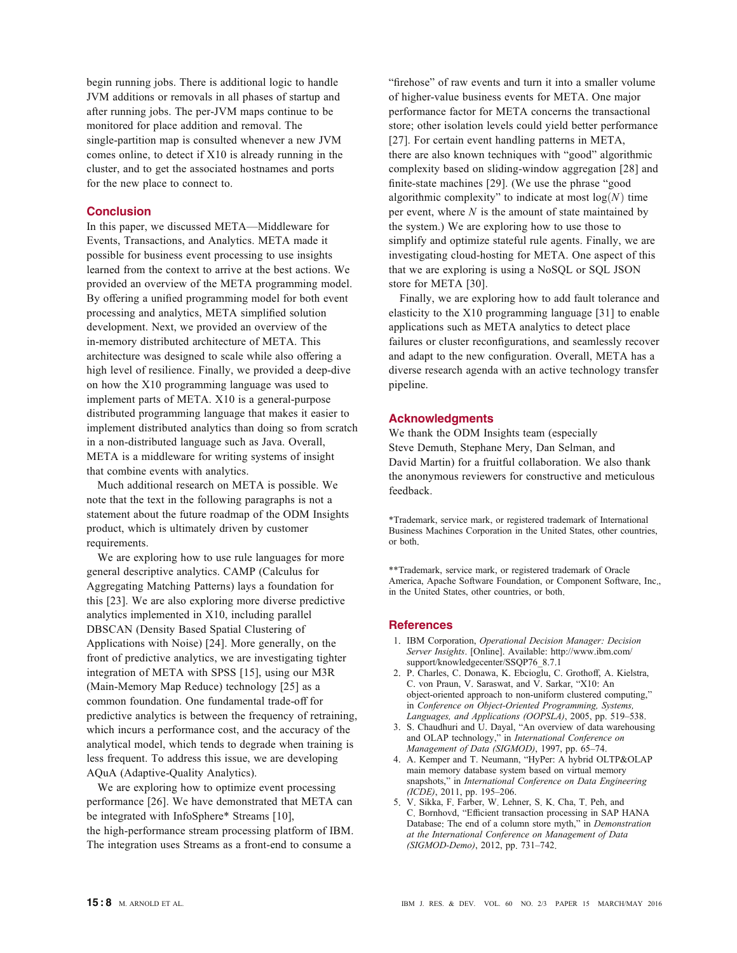begin running jobs. There is additional logic to handle JVM additions or removals in all phases of startup and after running jobs. The per-JVM maps continue to be monitored for place addition and removal. The single-partition map is consulted whenever a new JVM comes online, to detect if X10 is already running in the cluster, and to get the associated hostnames and ports for the new place to connect to.

## **Conclusion**

In this paper, we discussed META—Middleware for Events, Transactions, and Analytics. META made it possible for business event processing to use insights learned from the context to arrive at the best actions. We provided an overview of the META programming model. By offering a unified programming model for both event processing and analytics, META simplified solution development. Next, we provided an overview of the in-memory distributed architecture of META. This architecture was designed to scale while also offering a high level of resilience. Finally, we provided a deep-dive on how the X10 programming language was used to implement parts of META. X10 is a general-purpose distributed programming language that makes it easier to implement distributed analytics than doing so from scratch in a non-distributed language such as Java. Overall, META is a middleware for writing systems of insight that combine events with analytics.

Much additional research on META is possible. We note that the text in the following paragraphs is not a statement about the future roadmap of the ODM Insights product, which is ultimately driven by customer requirements.

We are exploring how to use rule languages for more general descriptive analytics. CAMP (Calculus for Aggregating Matching Patterns) lays a foundation for this [23]. We are also exploring more diverse predictive analytics implemented in X10, including parallel DBSCAN (Density Based Spatial Clustering of Applications with Noise) [24]. More generally, on the front of predictive analytics, we are investigating tighter integration of META with SPSS [15], using our M3R (Main-Memory Map Reduce) technology [25] as a common foundation. One fundamental trade-off for predictive analytics is between the frequency of retraining, which incurs a performance cost, and the accuracy of the analytical model, which tends to degrade when training is less frequent. To address this issue, we are developing AQuA (Adaptive-Quality Analytics).

We are exploring how to optimize event processing performance [26]. We have demonstrated that META can be integrated with InfoSphere\* Streams [10], the high-performance stream processing platform of IBM. The integration uses Streams as a front-end to consume a

"firehose" of raw events and turn it into a smaller volume of higher-value business events for META. One major performance factor for META concerns the transactional store; other isolation levels could yield better performance [27]. For certain event handling patterns in META, there are also known techniques with "good" algorithmic complexity based on sliding-window aggregation [28] and finite-state machines [29]. (We use the phrase "good algorithmic complexity" to indicate at most  $log(N)$  time per event, where  $N$  is the amount of state maintained by the system.) We are exploring how to use those to simplify and optimize stateful rule agents. Finally, we are investigating cloud-hosting for META. One aspect of this that we are exploring is using a NoSQL or SQL JSON store for META [30].

Finally, we are exploring how to add fault tolerance and elasticity to the X10 programming language [31] to enable applications such as META analytics to detect place failures or cluster reconfigurations, and seamlessly recover and adapt to the new configuration. Overall, META has a diverse research agenda with an active technology transfer pipeline.

#### Acknowledgments

We thank the ODM Insights team (especially Steve Demuth, Stephane Mery, Dan Selman, and David Martin) for a fruitful collaboration. We also thank the anonymous reviewers for constructive and meticulous feedback.

\*Trademark, service mark, or registered trademark of International Business Machines Corporation in the United States, other countries, or both

\*\*Trademark, service mark, or registered trademark of Oracle America, Apache Software Foundation, or Component Software, Inc., in the United States, other countries, or both

#### **References**

- 1. IBM Corporation, Operational Decision Manager: Decision Server Insights. [Online]. Available: http://www.ibm.com/ support/knowledgecenter/SSQP76\_8.7.1
- 2. P. Charles, C. Donawa, K. Ebcioglu, C. Grothoff, A. Kielstra, C. von Praun, V. Saraswat, and V. Sarkar, "X10: An object-oriented approach to non-uniform clustered computing," in Conference on Object-Oriented Programming, Systems, Languages, and Applications (OOPSLA), 2005, pp. 519-538.
- 3. S. Chaudhuri and U. Dayal, "An overview of data warehousing and OLAP technology," in International Conference on Management of Data (SIGMOD), 1997, pp. 65-74.
- 4. A. Kemper and T. Neumann, "HyPer: A hybrid OLTP&OLAP main memory database system based on virtual memory snapshots," in International Conference on Data Engineering  $(ICDE)$ , 2011, pp. 195–206.
- 5. V. Sikka, F. Farber, W. Lehner, S. K. Cha, T. Peh, and C. Bornhovd, "Efficient transaction processing in SAP HANA Database: The end of a column store myth," in Demonstration at the International Conference on Management of Data (SIGMOD-Demo), 2012, pp. 731-742.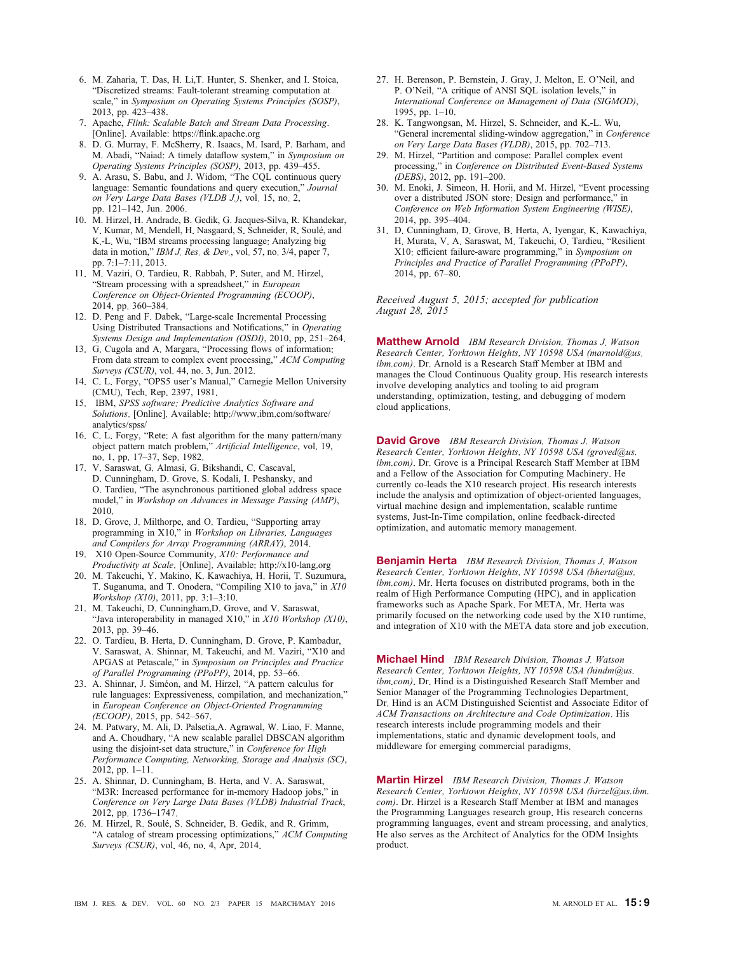- 6. M. Zaharia, T. Das, H. Li,T. Hunter, S. Shenker, and I. Stoica, "Discretized streams: Fault-tolerant streaming computation at scale," in Symposium on Operating Systems Principles (SOSP), 2013, pp. 423-438.
- 7. Apache, Flink: Scalable Batch and Stream Data Processing. [Online]. Available: https://flink.apache.org
- 8. D. G. Murray, F. McSherry, R. Isaacs, M. Isard, P. Barham, and M. Abadi, "Naiad: A timely dataflow system," in Symposium on Operating Systems Principles (SOSP), 2013, pp 439–455
- 9. A. Arasu, S. Babu, and J. Widom, "The CQL continuous query language: Semantic foundations and query execution," Journal on Very Large Data Bases (VLDB J.), vol. 15, no. 2, pp. 121–142, Jun. 2006.
- 10. M. Hirzel, H. Andrade, B. Gedik, G. Jacques-Silva, R. Khandekar, V. Kumar, M. Mendell, H. Nasgaard, S. Schneider, R. Soulé, and K .- L. Wu, "IBM streams processing language: Analyzing big data in motion," IBM J. Res. & Dev., vol. 57, no. 3/4, paper 7, pp. 7:1-7:11, 2013.
- 11. M. Vaziri, O. Tardieu, R. Rabbah, P. Suter, and M. Hirzel, "Stream processing with a spreadsheet," in European Conference on Object-Oriented Programming (ECOOP), 2014, pp. 360-384.
- 12. D. Peng and F. Dabek, "Large-scale Incremental Processing Using Distributed Transactions and Notifications," in Operating Systems Design and Implementation (OSDI), 2010, pp. 251-264.
- 13. G. Cugola and A. Margara, "Processing flows of information: From data stream to complex event processing," ACM Computing Surveys (CSUR), vol. 44, no. 3, Jun. 2012.
- 14 C L Forgy, "OPS5 user's Manual," Carnegie Mellon University (CMU), Tech. Rep. 2397, 1981.
- 15. IBM, SPSS software: Predictive Analytics Software and Solutions. [Online]. Available: http://www.ibm.com/software/ analytics/spss/
- 16. C. L. Forgy, "Rete: A fast algorithm for the many pattern/many object pattern match problem," Artificial Intelligence, vol. 19, no. 1, pp. 17-37, Sep. 1982.
- 17. V. Saraswat, G. Almasi, G. Bikshandi, C. Cascaval, D. Cunningham, D. Grove, S. Kodali, I. Peshansky, and O. Tardieu, "The asynchronous partitioned global address space model," in Workshop on Advances in Message Passing (AMP), 2010
- 18. D. Grove, J. Milthorpe, and O. Tardieu, "Supporting array programming in X10," in Workshop on Libraries, Languages and Compilers for Array Programming (ARRAY), 2014
- 19. X10 Open-Source Community, X10: Performance and Productivity at Scale. [Online]. Available: http://x10-lang.org
- 20. M. Takeuchi, Y. Makino, K. Kawachiya, H. Horii, T. Suzumura, T. Suganuma, and T. Onodera, "Compiling X10 to java," in X10  $Workshop (X10)$ , 2011, pp. 3:1-3:10.
- 21. M. Takeuchi, D. Cunningham, D. Grove, and V. Saraswat, "Java interoperability in managed X10," in  $X10$  Workshop (X10), 2013, pp.  $39-46$ .
- 22. O. Tardieu, B. Herta, D. Cunningham, D. Grove, P. Kambadur, V. Saraswat, A. Shinnar, M. Takeuchi, and M. Vaziri, "X10 and APGAS at Petascale," in Symposium on Principles and Practice of Parallel Programming (PPoPP), 2014, pp. 53-66.
- 23. A. Shinnar, J. Siméon, and M. Hirzel, "A pattern calculus for rule languages: Expressiveness, compilation, and mechanization," in European Conference on Object-Oriented Programming  $(ECOOP)$ , 2015, pp. 542-567.
- 24. M. Patwary, M. Ali, D. Palsetia, A. Agrawal, W. Liao, F. Manne, and A. Choudhary, "A new scalable parallel DBSCAN algorithm using the disjoint-set data structure," in Conference for High Performance Computing, Networking, Storage and Analysis (SC),  $2012$ , pp. 1–11.
- 25. A. Shinnar, D. Cunningham, B. Herta, and V. A. Saraswat, "M3R: Increased performance for in-memory Hadoop jobs," in Conference on Very Large Data Bases (VLDB) Industrial Track, 2012, pp. 1736-1747.
- 26. M. Hirzel, R. Soulé, S. Schneider, B. Gedik, and R. Grimm, "A catalog of stream processing optimizations," ACM Computing Surveys  $\overline{\text{CSUR}}$ , vol. 46, no. 4, Apr. 2014.
- 27. H. Berenson, P. Bernstein, J. Gray, J. Melton, E. O'Neil, and P. O'Neil, "A critique of ANSI SQL isolation levels," in International Conference on Management of Data (SIGMOD), 1995, pp. 1-10.
- 28. K. Tangwongsan, M. Hirzel, S. Schneider, and K.-L. Wu, "General incremental sliding-window aggregation," in Conference on Very Large Data Bases (VLDB), 2015, pp 702–713
- 29. M. Hirzel, "Partition and compose: Parallel complex event processing," in Conference on Distributed Event-Based Systems  $(DEBS)$ , 2012, pp. 191–200.
- 30. M. Enoki, J. Simeon, H. Horii, and M. Hirzel, "Event processing over a distributed JSON store: Design and performance," in Conference on Web Information System Engineering (WISE), 2014, pp. 395-404.
- 31. D. Cunningham, D. Grove, B. Herta, A. Iyengar, K. Kawachiya, H. Murata, V. A. Saraswat, M. Takeuchi, O. Tardieu, "Resilient X10: efficient failure-aware programming," in Symposium on Principles and Practice of Parallel Programming (PPoPP), 2014, pp. 67-80.

Received August 5, 2015; accepted for publication August 28, 2015

Matthew Arnold IBM Research Division, Thomas J. Watson Research Center, Yorktown Heights, NY 10598 USA (marnold@us. ibm.com). Dr. Arnold is a Research Staff Member at IBM and manages the Cloud Continuous Quality group His research interests involve developing analytics and tooling to aid program understanding, optimization, testing, and debugging of modern cloud applications

David Grove IBM Research Division, Thomas J. Watson Research Center, Yorktown Heights, NY 10598 USA (groved@us. ibm.com). Dr. Grove is a Principal Research Staff Member at IBM and a Fellow of the Association for Computing Machinery. He currently co-leads the X10 research project. His research interests include the analysis and optimization of object-oriented languages, virtual machine design and implementation, scalable runtime systems, Just-In-Time compilation, online feedback-directed optimization, and automatic memory management

Benjamin Herta IBM Research Division, Thomas J. Watson Research Center, Yorktown Heights, NY 10598 USA (bherta@us. ibm com) Mr Herta focuses on distributed programs, both in the realm of High Performance Computing (HPC), and in application frameworks such as Apache Spark For META, Mr Herta was primarily focused on the networking code used by the X10 runtime, and integration of X10 with the META data store and job execution

Michael Hind IBM Research Division, Thomas J. Watson Research Center, Yorktown Heights, NY 10598 USA (hindm@us. ibm.com). Dr. Hind is a Distinguished Research Staff Member and Senior Manager of the Programming Technologies Department Dr. Hind is an ACM Distinguished Scientist and Associate Editor of ACM Transactions on Architecture and Code Optimization. His research interests include programming models and their implementations, static and dynamic development tools, and middleware for emerging commercial paradigms

Martin Hirzel IBM Research Division, Thomas J. Watson Research Center, Yorktown Heights, NY 10598 USA (hirzel@us.ibm. com). Dr. Hirzel is a Research Staff Member at IBM and manages the Programming Languages research group. His research concerns programming languages, event and stream processing, and analytics He also serves as the Architect of Analytics for the ODM Insights product